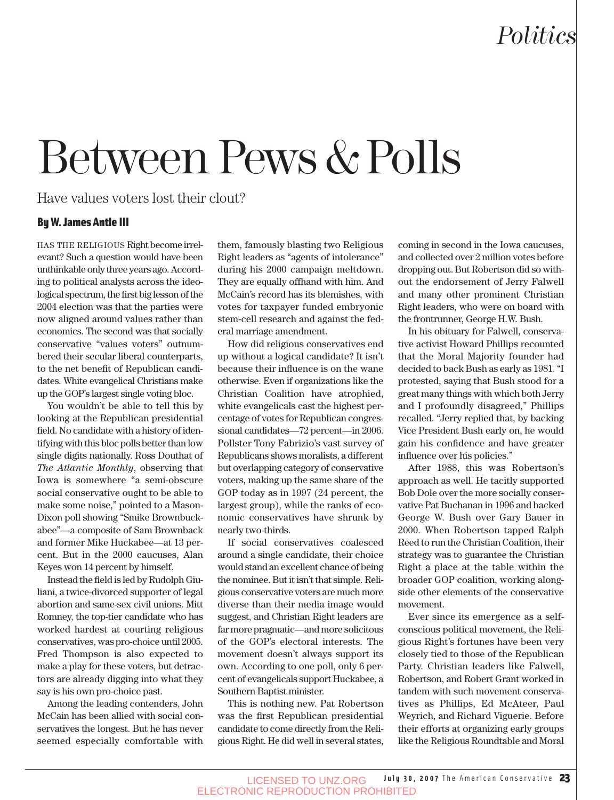## *Politics*

## Between Pews & Polls

Have values voters lost their clout?

#### By W. James Antle III

HAS THE RELIGIOUS Right become irrelevant? Such a question would have been unthinkable only three years ago. According to political analysts across the ideological spectrum, the first big lesson of the 2004 election was that the parties were now aligned around values rather than economics. The second was that socially conservative "values voters" outnumbered their secular liberal counterparts, to the net benefit of Republican candidates. White evangelical Christians make up the GOP's largest single voting bloc.

You wouldn't be able to tell this by looking at the Republican presidential field. No candidate with a history of identifying with this bloc polls better than low single digits nationally. Ross Douthat of *The Atlantic Monthly*, observing that Iowa is somewhere "a semi-obscure social conservative ought to be able to make some noise," pointed to a Mason-Dixon poll showing "Smike Brownbuckabee"—a composite of Sam Brownback and former Mike Huckabee—at 13 percent. But in the 2000 caucuses, Alan Keyes won 14 percent by himself.

Instead the field is led by Rudolph Giuliani, a twice-divorced supporter of legal abortion and same-sex civil unions. Mitt Romney, the top-tier candidate who has worked hardest at courting religious conservatives, was pro-choice until 2005. Fred Thompson is also expected to make a play for these voters, but detractors are already digging into what they say is his own pro-choice past.

Among the leading contenders, John McCain has been allied with social conservatives the longest. But he has never seemed especially comfortable with them, famously blasting two Religious Right leaders as "agents of intolerance" during his 2000 campaign meltdown. They are equally offhand with him. And McCain's record has its blemishes, with votes for taxpayer funded embryonic stem-cell research and against the federal marriage amendment.

How did religious conservatives end up without a logical candidate? It isn't because their influence is on the wane otherwise. Even if organizations like the Christian Coalition have atrophied, white evangelicals cast the highest percentage of votes for Republican congressional candidates—72 percent—in 2006. Pollster Tony Fabrizio's vast survey of Republicans shows moralists, a different but overlapping category of conservative voters, making up the same share of the GOP today as in 1997 (24 percent, the largest group), while the ranks of economic conservatives have shrunk by nearly two-thirds.

If social conservatives coalesced around a single candidate, their choice would stand an excellent chance of being the nominee. But it isn't that simple. Religious conservative voters are much more diverse than their media image would suggest, and Christian Right leaders are far more pragmatic—and more solicitous of the GOP's electoral interests. The movement doesn't always support its own. According to one poll, only 6 percent of evangelicals support Huckabee, a Southern Baptist minister.

This is nothing new. Pat Robertson was the first Republican presidential candidate to come directly from the Religious Right. He did well in several states, coming in second in the Iowa caucuses, and collected over 2 million votes before dropping out. But Robertson did so without the endorsement of Jerry Falwell and many other prominent Christian Right leaders, who were on board with the frontrunner, George H.W. Bush.

In his obituary for Falwell, conservative activist Howard Phillips recounted that the Moral Majority founder had decided to back Bush as early as 1981. "I protested, saying that Bush stood for a great many things with which both Jerry and I profoundly disagreed," Phillips recalled. "Jerry replied that, by backing Vice President Bush early on, he would gain his confidence and have greater influence over his policies."

After 1988, this was Robertson's approach as well. He tacitly supported Bob Dole over the more socially conservative Pat Buchanan in 1996 and backed George W. Bush over Gary Bauer in 2000. When Robertson tapped Ralph Reed to run the Christian Coalition, their strategy was to guarantee the Christian Right a place at the table within the broader GOP coalition, working alongside other elements of the conservative movement.

Ever since its emergence as a selfconscious political movement, the Religious Right's fortunes have been very closely tied to those of the Republican Party. Christian leaders like Falwell, Robertson, and Robert Grant worked in tandem with such movement conservatives as Phillips, Ed McAteer, Paul Weyrich, and Richard Viguerie. Before their efforts at organizing early groups like the Religious Roundtable and Moral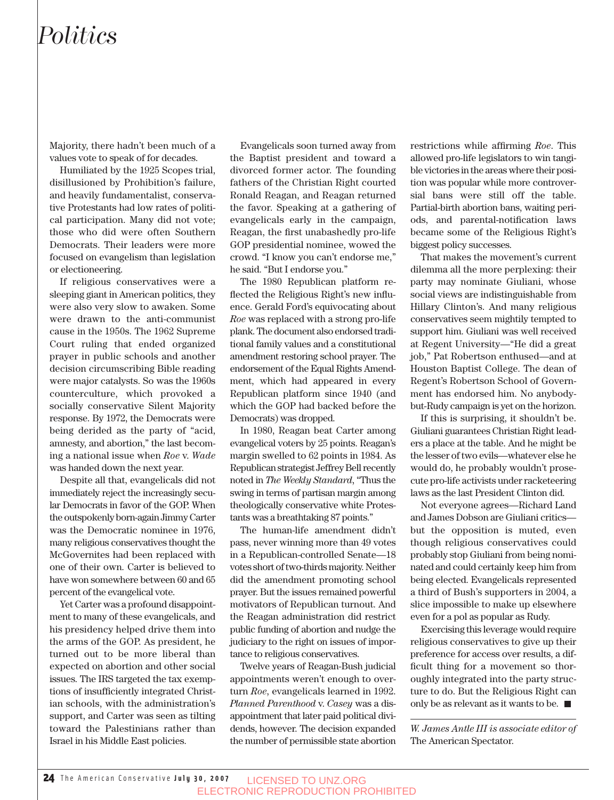### *Politics*

Majority, there hadn't been much of a values vote to speak of for decades.

Humiliated by the 1925 Scopes trial, disillusioned by Prohibition's failure, and heavily fundamentalist, conservative Protestants had low rates of political participation. Many did not vote; those who did were often Southern Democrats. Their leaders were more focused on evangelism than legislation or electioneering.

If religious conservatives were a sleeping giant in American politics, they were also very slow to awaken. Some were drawn to the anti-communist cause in the 1950s. The 1962 Supreme Court ruling that ended organized prayer in public schools and another decision circumscribing Bible reading were major catalysts. So was the 1960s counterculture, which provoked a socially conservative Silent Majority response. By 1972, the Democrats were being derided as the party of "acid, amnesty, and abortion," the last becoming a national issue when *Roe* v. *Wade* was handed down the next year.

Despite all that, evangelicals did not immediately reject the increasingly secular Democrats in favor of the GOP. When the outspokenly born-again Jimmy Carter was the Democratic nominee in 1976, many religious conservatives thought the McGovernites had been replaced with one of their own. Carter is believed to have won somewhere between 60 and 65 percent of the evangelical vote.

Yet Carter was a profound disappointment to many of these evangelicals, and his presidency helped drive them into the arms of the GOP. As president, he turned out to be more liberal than expected on abortion and other social issues. The IRS targeted the tax exemptions of insufficiently integrated Christian schools, with the administration's support, and Carter was seen as tilting toward the Palestinians rather than Israel in his Middle East policies.

Evangelicals soon turned away from the Baptist president and toward a divorced former actor. The founding fathers of the Christian Right courted Ronald Reagan, and Reagan returned the favor. Speaking at a gathering of evangelicals early in the campaign, Reagan, the first unabashedly pro-life GOP presidential nominee, wowed the crowd. "I know you can't endorse me," he said. "But I endorse you."

The 1980 Republican platform reflected the Religious Right's new influence. Gerald Ford's equivocating about *Roe* was replaced with a strong pro-life plank. The document also endorsed traditional family values and a constitutional amendment restoring school prayer. The endorsement of the Equal Rights Amendment, which had appeared in every Republican platform since 1940 (and which the GOP had backed before the Democrats) was dropped.

In 1980, Reagan beat Carter among evangelical voters by 25 points. Reagan's margin swelled to 62 points in 1984. As Republican strategist Jeffrey Bell recently noted in *The Weekly Standard*, "Thus the swing in terms of partisan margin among theologically conservative white Protestants was a breathtaking 87 points."

The human-life amendment didn't pass, never winning more than 49 votes in a Republican-controlled Senate—18 votes short of two-thirds majority. Neither did the amendment promoting school prayer. But the issues remained powerful motivators of Republican turnout. And the Reagan administration did restrict public funding of abortion and nudge the judiciary to the right on issues of importance to religious conservatives.

Twelve years of Reagan-Bush judicial appointments weren't enough to overturn *Roe*, evangelicals learned in 1992. *Planned Parenthood* v. *Casey* was a disappointment that later paid political dividends, however. The decision expanded the number of permissible state abortion restrictions while affirming *Roe*. This allowed pro-life legislators to win tangible victories in the areas where their position was popular while more controversial bans were still off the table. Partial-birth abortion bans, waiting periods, and parental-notification laws became some of the Religious Right's biggest policy successes.

That makes the movement's current dilemma all the more perplexing: their party may nominate Giuliani, whose social views are indistinguishable from Hillary Clinton's. And many religious conservatives seem mightily tempted to support him. Giuliani was well received at Regent University—"He did a great job," Pat Robertson enthused—and at Houston Baptist College. The dean of Regent's Robertson School of Government has endorsed him. No anybodybut-Rudy campaign is yet on the horizon.

If this is surprising, it shouldn't be. Giuliani guarantees Christian Right leaders a place at the table. And he might be the lesser of two evils—whatever else he would do, he probably wouldn't prosecute pro-life activists under racketeering laws as the last President Clinton did.

Not everyone agrees—Richard Land and James Dobson are Giuliani critics but the opposition is muted, even though religious conservatives could probably stop Giuliani from being nominated and could certainly keep him from being elected. Evangelicals represented a third of Bush's supporters in 2004, a slice impossible to make up elsewhere even for a pol as popular as Rudy.

Exercising this leverage would require religious conservatives to give up their preference for access over results, a difficult thing for a movement so thoroughly integrated into the party structure to do. But the Religious Right can only be as relevant as it wants to be.  $\blacksquare$ 

*W. James Antle III is associate editor of* The American Spectator.